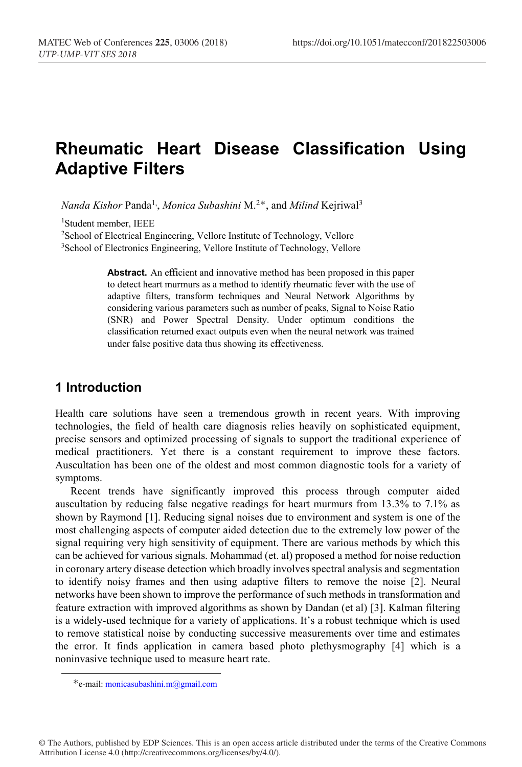# **Rheumatic Heart Disease Classification Using Adaptive Filters**

*Nanda Kishor* Panda<sup>1,</sup>, *Monica Subashini* M.<sup>2∗</sup>, and *Milind* Kejriwal<sup>3</sup>

1 Student member, IEEE

<sup>2</sup>School of Electrical Engineering, Vellore Institute of Technology, Vellore <sup>3</sup>School of Electronics Engineering, Vellore Institute of Technology, Vellore

> **Abstract.** An efficient and innovative method has been proposed in this paper to detect heart murmurs as a method to identify rheumatic fever with the use of adaptive filters, transform techniques and Neural Network Algorithms by considering various parameters such as number of peaks, Signal to Noise Ratio (SNR) and Power Spectral Density. Under optimum conditions the classification returned exact outputs even when the neural network was trained under false positive data thus showing its effectiveness.

# **1 Introduction**

Health care solutions have seen a tremendous growth in recent years. With improving technologies, the field of health care diagnosis relies heavily on sophisticated equipment, precise sensors and optimized processing of signals to support the traditional experience of medical practitioners. Yet there is a constant requirement to improve these factors. Auscultation has been one of the oldest and most common diagnostic tools for a variety of symptoms.

Recent trends have significantly improved this process through computer aided auscultation by reducing false negative readings for heart murmurs from 13.3% to 7.1% as shown by Raymond [1]. Reducing signal noises due to environment and system is one of the most challenging aspects of computer aided detection due to the extremely low power of the signal requiring very high sensitivity of equipment. There are various methods by which this can be achieved for various signals. Mohammad (et. al) proposed a method for noise reduction in coronary artery disease detection which broadly involves spectral analysis and segmentation to identify noisy frames and then using adaptive filters to remove the noise [2]. Neural networks have been shown to improve the performance of such methods in transformation and feature extraction with improved algorithms as shown by Dandan (et al) [3]. Kalman filtering is a widely-used technique for a variety of applications. It's a robust technique which is used to remove statistical noise by conducting successive measurements over time and estimates the error. It finds application in camera based photo plethysmography [4] which is a noninvasive technique used to measure heart rate.

<sup>∗</sup>e-mail: monicasubashini.m@gmail.com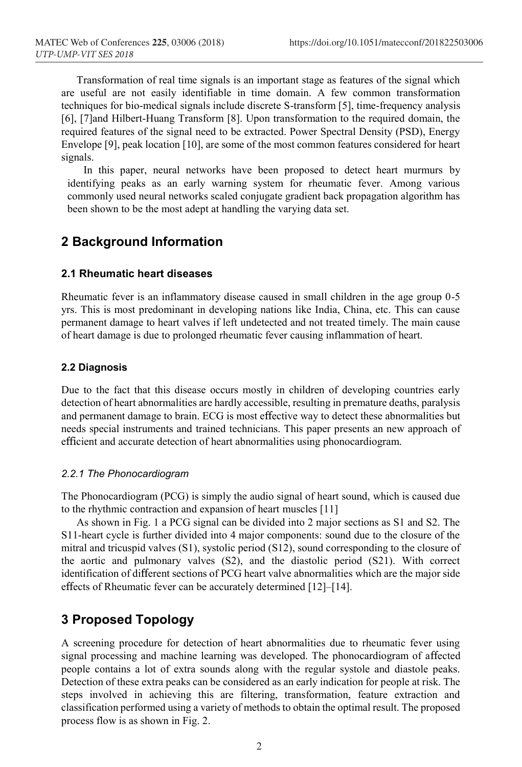Transformation of real time signals is an important stage as features of the signal which are useful are not easily identifiable in time domain. A few common transformation techniques for bio-medical signals include discrete S-transform [5], time-frequency analysis [6], [7]and Hilbert-Huang Transform [8]. Upon transformation to the required domain, the required features of the signal need to be extracted. Power Spectral Density (PSD), Energy Envelope [9], peak location [10], are some of the most common features considered for heart signals.

In this paper, neural networks have been proposed to detect heart murmurs by identifying peaks as an early warning system for rheumatic fever. Among various commonly used neural networks scaled conjugate gradient back propagation algorithm has been shown to be the most adept at handling the varying data set.

# **2 Background Information**

#### **2.1 Rheumatic heart diseases**

Rheumatic fever is an inflammatory disease caused in small children in the age group 0-5 yrs. This is most predominant in developing nations like India, China, etc. This can cause permanent damage to heart valves if left undetected and not treated timely. The main cause of heart damage is due to prolonged rheumatic fever causing inflammation of heart.

#### **2.2 Diagnosis**

Due to the fact that this disease occurs mostly in children of developing countries early detection of heart abnormalities are hardly accessible, resulting in premature deaths, paralysis and permanent damage to brain. ECG is most effective way to detect these abnormalities but needs special instruments and trained technicians. This paper presents an new approach of efficient and accurate detection of heart abnormalities using phonocardiogram.

#### *2.2.1 The Phonocardiogram*

The Phonocardiogram (PCG) is simply the audio signal of heart sound, which is caused due to the rhythmic contraction and expansion of heart muscles [11]

As shown in Fig. 1 a PCG signal can be divided into 2 major sections as S1 and S2. The S11-heart cycle is further divided into 4 major components: sound due to the closure of the mitral and tricuspid valves (S1), systolic period (S12), sound corresponding to the closure of the aortic and pulmonary valves (S2), and the diastolic period (S21). With correct identification of different sections of PCG heart valve abnormalities which are the major side effects of Rheumatic fever can be accurately determined [12]–[14].

# **3 Proposed Topology**

A screening procedure for detection of heart abnormalities due to rheumatic fever using signal processing and machine learning was developed. The phonocardiogram of affected people contains a lot of extra sounds along with the regular systole and diastole peaks. Detection of these extra peaks can be considered as an early indication for people at risk. The steps involved in achieving this are filtering, transformation, feature extraction and classification performed using a variety of methods to obtain the optimal result. The proposed process flow is as shown in Fig. 2.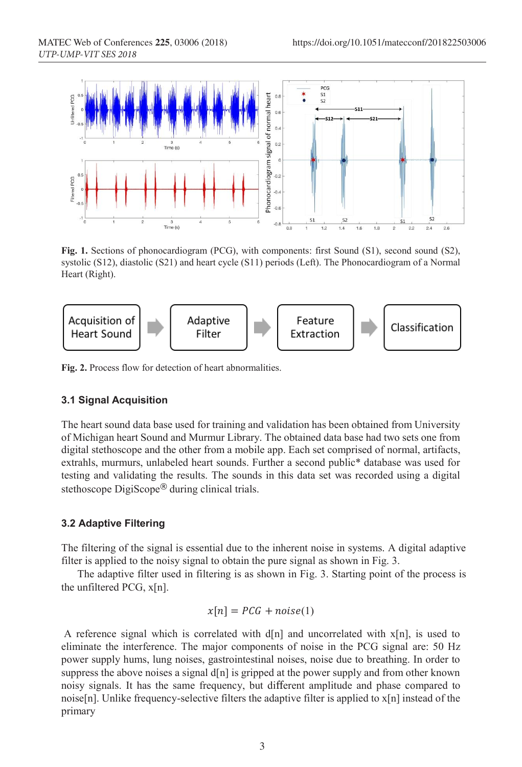

**Fig. 1.** Sections of phonocardiogram (PCG), with components: first Sound (S1), second sound (S2), systolic (S12), diastolic (S21) and heart cycle (S11) periods (Left). The Phonocardiogram of a Normal Heart (Right).



**Fig. 2.** Process flow for detection of heart abnormalities.

#### **3.1 Signal Acquisition**

The heart sound data base used for training and validation has been obtained from University of Michigan heart Sound and Murmur Library. The obtained data base had two sets one from digital stethoscope and the other from a mobile app. Each set comprised of normal, artifacts, extrahls, murmurs, unlabeled heart sounds. Further a second public\* database was used for testing and validating the results. The sounds in this data set was recorded using a digital stethoscope DigiScope® during clinical trials.

#### **3.2 Adaptive Filtering**

The filtering of the signal is essential due to the inherent noise in systems. A digital adaptive filter is applied to the noisy signal to obtain the pure signal as shown in Fig. 3.

The adaptive filter used in filtering is as shown in Fig. 3. Starting point of the process is the unfiltered PCG, x[n].

$$
x[n] = PCG + noise(1)
$$

A reference signal which is correlated with  $d[n]$  and uncorrelated with  $x[n]$ , is used to eliminate the interference. The major components of noise in the PCG signal are: 50 Hz power supply hums, lung noises, gastrointestinal noises, noise due to breathing. In order to suppress the above noises a signal  $d[n]$  is gripped at the power supply and from other known noisy signals. It has the same frequency, but different amplitude and phase compared to noise[n]. Unlike frequency-selective filters the adaptive filter is applied to  $x[n]$  instead of the primary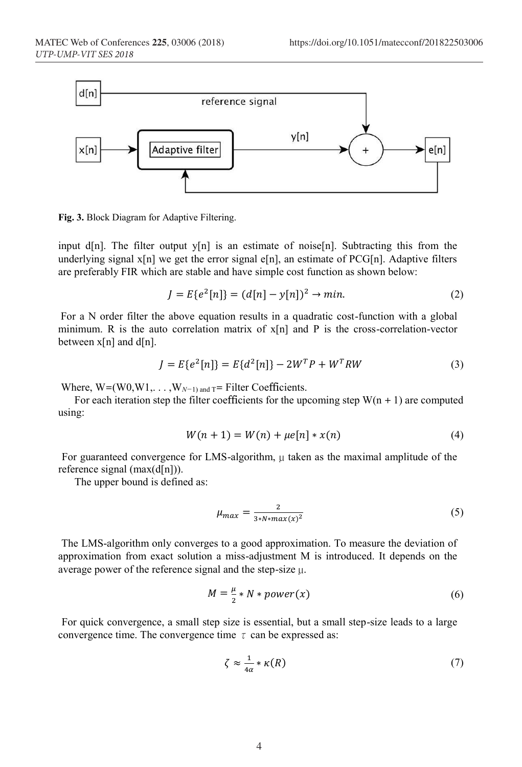

**Fig. 3.** Block Diagram for Adaptive Filtering.

input d[n]. The filter output  $y[n]$  is an estimate of noise[n]. Subtracting this from the underlying signal  $x[n]$  we get the error signal e[n], an estimate of PCG[n]. Adaptive filters are preferably FIR which are stable and have simple cost function as shown below:

$$
J = E\{e^2[n]\} = (d[n] - y[n])^2 \to \min. \tag{2}
$$

For a N order filter the above equation results in a quadratic cost-function with a global minimum. R is the auto correlation matrix of  $x[n]$  and P is the cross-correlation-vector between  $x[n]$  and  $d[n]$ .

$$
J = E\{e^{2}[n]\} = E\{d^{2}[n]\} - 2W^{T}P + W^{T}RW
$$
\n(3)

Where,  $W=(W0,W1,...,W<sub>N-1</sub>)$  and  $T=$  Filter Coefficients.

For each iteration step the filter coefficients for the upcoming step  $W(n + 1)$  are computed using:

$$
W(n + 1) = W(n) + \mu e[n] * x(n)
$$
 (4)

For guaranteed convergence for LMS-algorithm,  $\mu$  taken as the maximal amplitude of the reference signal  $(max(d[n]))$ .

The upper bound is defined as:

$$
\mu_{max} = \frac{2}{3 \cdot N \cdot max(x)^2} \tag{5}
$$

The LMS-algorithm only converges to a good approximation. To measure the deviation of approximation from exact solution a miss-adjustment M is introduced. It depends on the average power of the reference signal and the step-size µ.

$$
M = \frac{\mu}{2} * N * power(x) \tag{6}
$$

For quick convergence, a small step size is essential, but a small step-size leads to a large convergence time. The convergence time  $\tau$  can be expressed as:

$$
\zeta \approx \frac{1}{4\alpha} * \kappa(R) \tag{7}
$$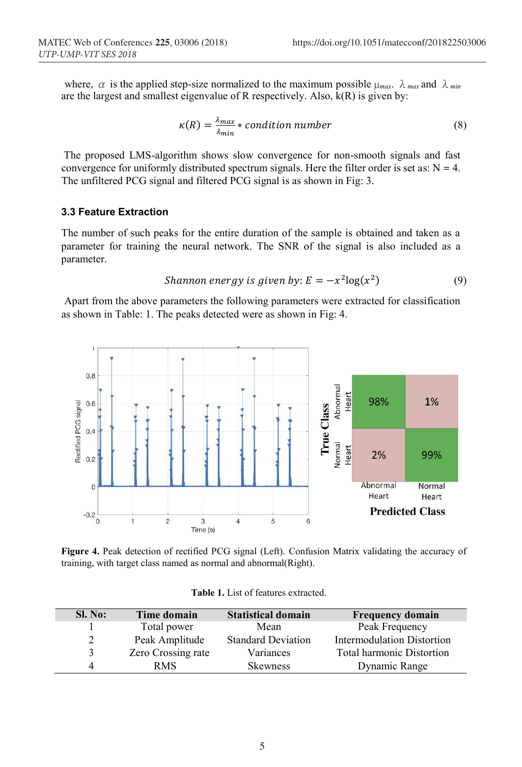where,  $\alpha$  is the applied step-size normalized to the maximum possible  $\mu_{max}$ .  $\lambda_{max}$  and  $\lambda_{min}$ are the largest and smallest eigenvalue of R respectively. Also,  $\hat{k}(R)$  is given by:

$$
\kappa(R) = \frac{\lambda_{max}}{\lambda_{min}} * condition number
$$
 (8)

The proposed LMS-algorithm shows slow convergence for non-smooth signals and fast convergence for uniformly distributed spectrum signals. Here the filter order is set as:  $N = 4$ . The unfiltered PCG signal and filtered PCG signal is as shown in Fig: 3.

#### **3.3 Feature Extraction**

The number of such peaks for the entire duration of the sample is obtained and taken as a parameter for training the neural network. The SNR of the signal is also included as a parameter.

*Shannon energy is given by*: 
$$
E = -x^2 \log(x^2)
$$
 (9)

Apart from the above parameters the following parameters were extracted for classification as shown in Table: 1. The peaks detected were as shown in Fig: 4.



**Figure 4.** Peak detection of rectified PCG signal (Left). Confusion Matrix validating the accuracy of training, with target class named as normal and abnormal(Right).

| Sl. No: | Time domain        | <b>Statistical domain</b> | <b>Frequency domain</b>           |
|---------|--------------------|---------------------------|-----------------------------------|
|         | Total power        | Mean                      | Peak Frequency                    |
|         | Peak Amplitude     | <b>Standard Deviation</b> | <b>Intermodulation Distortion</b> |
| 3       | Zero Crossing rate | Variances                 | <b>Total harmonic Distortion</b>  |
| 4       | <b>RMS</b>         | <b>Skewness</b>           | Dynamic Range                     |

**Table 1.** List of features extracted.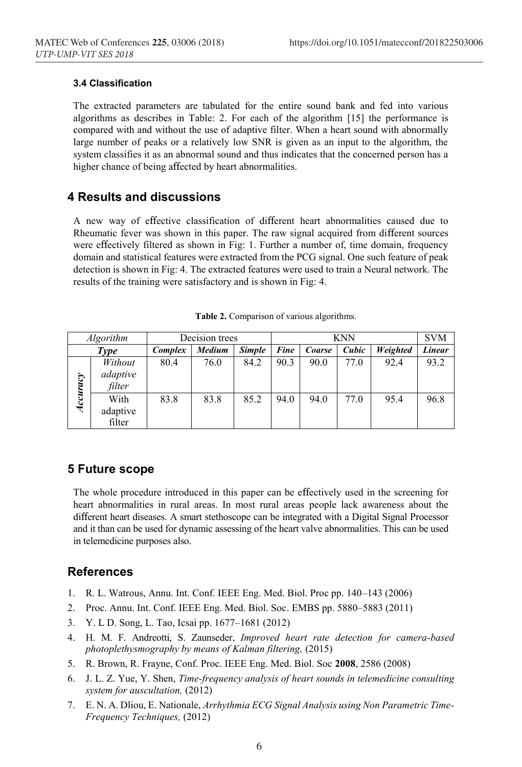#### **3.4 Classification**

The extracted parameters are tabulated for the entire sound bank and fed into various algorithms as describes in Table: 2. For each of the algorithm [15] the performance is compared with and without the use of adaptive filter. When a heart sound with abnormally large number of peaks or a relatively low SNR is given as an input to the algorithm, the system classifies it as an abnormal sound and thus indicates that the concerned person has a higher chance of being affected by heart abnormalities.

### **4 Results and discussions**

A new way of effective classification of different heart abnormalities caused due to Rheumatic fever was shown in this paper. The raw signal acquired from different sources were effectively filtered as shown in Fig: 1. Further a number of, time domain, frequency domain and statistical features were extracted from the PCG signal. One such feature of peak detection is shown in Fig: 4. The extracted features were used to train a Neural network. The results of the training were satisfactory and is shown in Fig: 4.

| <i>Algorithm</i> |                               | Decision trees |               | <b>KNN</b>    |      |        |       | <b>SVM</b> |               |
|------------------|-------------------------------|----------------|---------------|---------------|------|--------|-------|------------|---------------|
| Type             |                               | <b>Complex</b> | <b>Medium</b> | <b>Simple</b> | Fine | Coarse | Cubic | Weighted   | <b>Linear</b> |
| Accuracy         | Without<br>adaptive<br>filter | 80.4           | 76.0          | 84.2          | 90.3 | 90.0   | 77.0  | 92.4       | 93.2          |
|                  | With<br>adaptive<br>filter    | 83.8           | 83.8          | 85.2          | 94.0 | 94.0   | 77.0  | 95.4       | 96.8          |

**Table 2.** Comparison of various algorithms.

### **5 Future scope**

The whole procedure introduced in this paper can be effectively used in the screening for heart abnormalities in rural areas. In most rural areas people lack awareness about the different heart diseases. A smart stethoscope can be integrated with a Digital Signal Processor and it than can be used for dynamic assessing of the heart valve abnormalities. This can be used in telemedicine purposes also.

### **References**

- 1. R. L. Watrous, Annu. Int. Conf. IEEE Eng. Med. Biol. Proc pp. 140–143 (2006)
- 2. Proc. Annu. Int. Conf. IEEE Eng. Med. Biol. Soc. EMBS pp. 5880–5883 (2011)
- 3. Y. L D. Song, L. Tao, Icsai pp. 1677–1681 (2012)
- 4. H. M. F. Andreotti, S. Zaunseder, *Improved heart rate detection for camera-based photoplethysmography by means of Kalman filtering,* (2015)
- 5. R. Brown, R. Frayne, Conf. Proc. IEEE Eng. Med. Biol. Soc **2008**, 2586 (2008)
- 6. J. L. Z. Yue, Y. Shen, *Time-frequency analysis of heart sounds in telemedicine consulting system for auscultation,* (2012)
- 7. E. N. A. Dliou, E. Nationale, *Arrhythmia ECG Signal Analysis using Non Parametric Time-Frequency Techniques,* (2012)